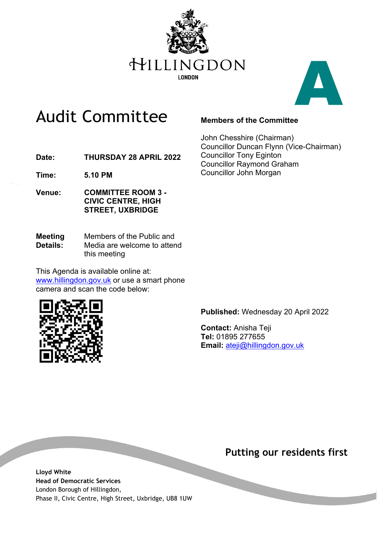



## Audit Committee

#### **Members of the Committee**

John Chesshire (Chairman) Councillor Duncan Flynn (Vice-Chairman) Councillor Tony Eginton Councillor Raymond Graham Councillor John Morgan

**Date: THURSDAY 28 APRIL 2022**

**Time: 5.10 PM**

- **Venue: COMMITTEE ROOM 3 - CIVIC CENTRE, HIGH STREET, UXBRIDGE**
- **Meeting Details:** Members of the Public and Media are welcome to attend this meeting

This Agenda is available online at: [www.hillingdon.gov.uk](http://www.hillingdon.gov.uk/) or use a smart phone camera and scan the code below:



**Published:** Wednesday 20 April 2022

**Contact:** Anisha Teji **Tel:** 01895 277655 **Email:** ateji@hillingdon.gov.uk

### **Putting our residents first**

**Lloyd White Head of Democratic Services** London Borough of Hillingdon, Phase II, Civic Centre, High Street, Uxbridge, UB8 1UW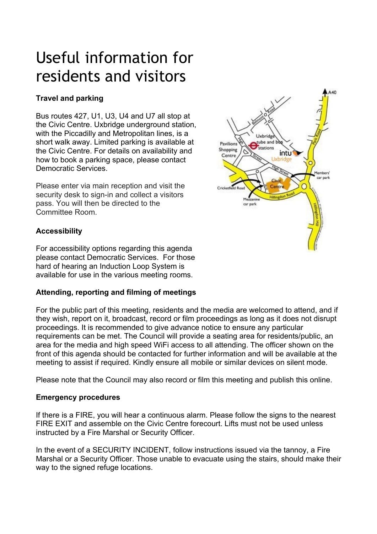# Useful information for residents and visitors

### **Travel and parking**

Bus routes 427, U1, U3, U4 and U7 all stop at the Civic Centre. Uxbridge underground station, with the Piccadilly and Metropolitan lines, is a short walk away. Limited parking is available at the Civic Centre. For details on availability and how to book a parking space, please contact Democratic Services.

Please enter via main reception and visit the security desk to sign-in and collect a visitors pass. You will then be directed to the Committee Room.

### **Accessibility**

For accessibility options regarding this agenda please contact Democratic Services. For those hard of hearing an Induction Loop System is available for use in the various meeting rooms.

#### **Attending, reporting and filming of meetings**

For the public part of this meeting, residents and the media are welcomed to attend, and if they wish, report on it, broadcast, record or film proceedings as long as it does not disrupt proceedings. It is recommended to give advance notice to ensure any particular requirements can be met. The Council will provide a seating area for residents/public, an area for the media and high speed WiFi access to all attending. The officer shown on the front of this agenda should be contacted for further information and will be available at the meeting to assist if required. Kindly ensure all mobile or similar devices on silent mode.

Please note that the Council may also record or film this meeting and publish this online.

#### **Emergency procedures**

If there is a FIRE, you will hear a continuous alarm. Please follow the signs to the nearest FIRE EXIT and assemble on the Civic Centre forecourt. Lifts must not be used unless instructed by a Fire Marshal or Security Officer.

In the event of a SECURITY INCIDENT, follow instructions issued via the tannoy, a Fire Marshal or a Security Officer. Those unable to evacuate using the stairs, should make their way to the signed refuge locations.

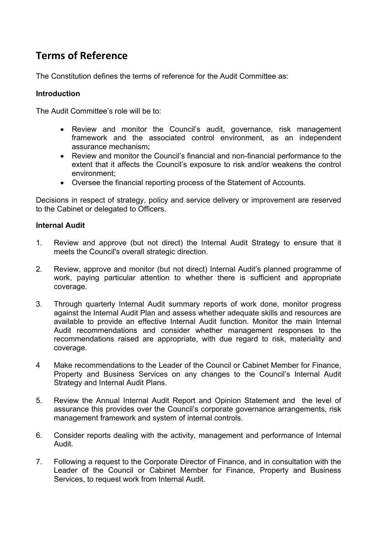## **Terms of Reference**

The Constitution defines the terms of reference for the Audit Committee as:

#### **Introduction**

The Audit Committee's role will be to:

- Review and monitor the Council's audit, governance, risk management framework and the associated control environment, as an independent assurance mechanism;
- Review and monitor the Council's financial and non-financial performance to the extent that it affects the Council's exposure to risk and/or weakens the control environment;
- Oversee the financial reporting process of the Statement of Accounts.

Decisions in respect of strategy, policy and service delivery or improvement are reserved to the Cabinet or delegated to Officers.

#### **Internal Audit**

- 1. Review and approve (but not direct) the Internal Audit Strategy to ensure that it meets the Council's overall strategic direction.
- 2. Review, approve and monitor (but not direct) Internal Audit's planned programme of work, paying particular attention to whether there is sufficient and appropriate coverage.
- 3. Through quarterly Internal Audit summary reports of work done, monitor progress against the Internal Audit Plan and assess whether adequate skills and resources are available to provide an effective Internal Audit function. Monitor the main Internal Audit recommendations and consider whether management responses to the recommendations raised are appropriate, with due regard to risk, materiality and coverage.
- 4 Make recommendations to the Leader of the Council or Cabinet Member for Finance, Property and Business Services on any changes to the Council's Internal Audit Strategy and Internal Audit Plans.
- 5. Review the Annual Internal Audit Report and Opinion Statement and the level of assurance this provides over the Council's corporate governance arrangements, risk management framework and system of internal controls.
- 6. Consider reports dealing with the activity, management and performance of Internal Audit.
- 7. Following a request to the Corporate Director of Finance, and in consultation with the Leader of the Council or Cabinet Member for Finance, Property and Business Services, to request work from Internal Audit.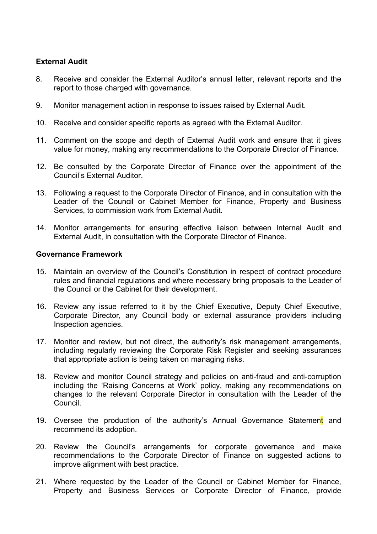#### **External Audit**

- 8. Receive and consider the External Auditor's annual letter, relevant reports and the report to those charged with governance.
- 9. Monitor management action in response to issues raised by External Audit.
- 10. Receive and consider specific reports as agreed with the External Auditor.
- 11. Comment on the scope and depth of External Audit work and ensure that it gives value for money, making any recommendations to the Corporate Director of Finance.
- 12. Be consulted by the Corporate Director of Finance over the appointment of the Council's External Auditor.
- 13. Following a request to the Corporate Director of Finance, and in consultation with the Leader of the Council or Cabinet Member for Finance, Property and Business Services, to commission work from External Audit.
- 14. Monitor arrangements for ensuring effective liaison between Internal Audit and External Audit, in consultation with the Corporate Director of Finance.

#### **Governance Framework**

- 15. Maintain an overview of the Council's Constitution in respect of contract procedure rules and financial regulations and where necessary bring proposals to the Leader of the Council or the Cabinet for their development.
- 16. Review any issue referred to it by the Chief Executive, Deputy Chief Executive, Corporate Director, any Council body or external assurance providers including Inspection agencies.
- 17. Monitor and review, but not direct, the authority's risk management arrangements, including regularly reviewing the Corporate Risk Register and seeking assurances that appropriate action is being taken on managing risks.
- 18. Review and monitor Council strategy and policies on anti-fraud and anti-corruption including the 'Raising Concerns at Work' policy, making any recommendations on changes to the relevant Corporate Director in consultation with the Leader of the Council.
- 19. Oversee the production of the authority's Annual Governance Statement and recommend its adoption.
- 20. Review the Council's arrangements for corporate governance and make recommendations to the Corporate Director of Finance on suggested actions to improve alignment with best practice.
- 21. Where requested by the Leader of the Council or Cabinet Member for Finance, Property and Business Services or Corporate Director of Finance, provide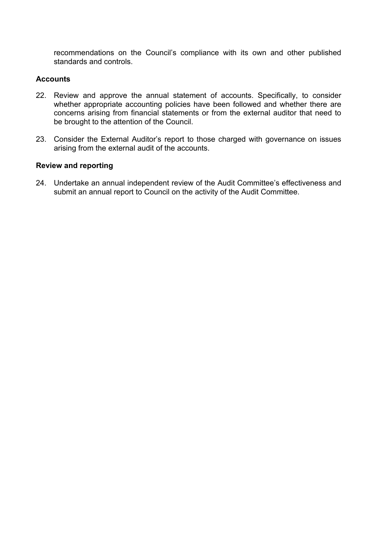recommendations on the Council's compliance with its own and other published standards and controls.

#### **Accounts**

- 22. Review and approve the annual statement of accounts. Specifically, to consider whether appropriate accounting policies have been followed and whether there are concerns arising from financial statements or from the external auditor that need to be brought to the attention of the Council.
- 23. Consider the External Auditor's report to those charged with governance on issues arising from the external audit of the accounts.

#### **Review and reporting**

24. Undertake an annual independent review of the Audit Committee's effectiveness and submit an annual report to Council on the activity of the Audit Committee.